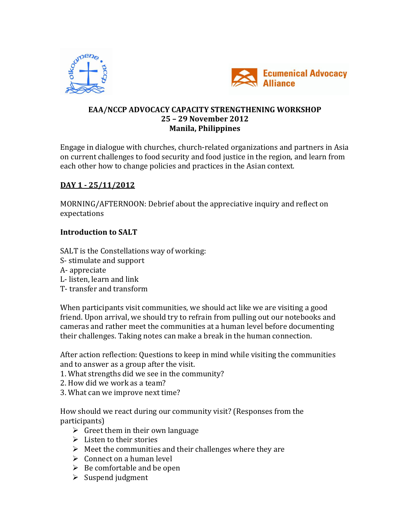



## **EAA/NCCP ADVOCACY CAPACITY STRENGTHENING WORKSHOP 25 – 29 November 2012 Manila, Philippines**

Engage in dialogue with churches, church-related organizations and partners in Asia on current challenges to food security and food justice in the region, and learn from each other how to change policies and practices in the Asian context.

# **DAY 1 - 25/11/2012**

MORNING/AFTERNOON: Debrief about the appreciative inquiry and reflect on expectations

# **Introduction to SALT**

SALT is the Constellations way of working: S- stimulate and support A- appreciate L- listen, learn and link

T- transfer and transform

When participants visit communities, we should act like we are visiting a good friend. Upon arrival, we should try to refrain from pulling out our notebooks and cameras and rather meet the communities at a human level before documenting their challenges. Taking notes can make a break in the human connection.

After action reflection: Questions to keep in mind while visiting the communities and to answer as a group after the visit.

- 1. What strengths did we see in the community?
- 2. How did we work as a team?
- 3. What can we improve next time?

How should we react during our community visit? (Responses from the participants)

- $\triangleright$  Greet them in their own language
- $\triangleright$  Listen to their stories
- $\triangleright$  Meet the communities and their challenges where they are
- $\triangleright$  Connect on a human level
- $\triangleright$  Be comfortable and be open
- $\triangleright$  Suspend judgment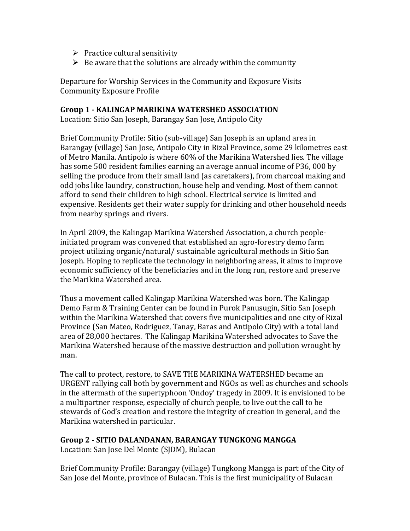- $\triangleright$  Practice cultural sensitivity
- $\triangleright$  Be aware that the solutions are already within the community

Departure for Worship Services in the Community and Exposure Visits Community Exposure Profile

#### **Group 1 - KALINGAP MARIKINA WATERSHED ASSOCIATION**

Location: Sitio San Joseph, Barangay San Jose, Antipolo City

Brief Community Profile: Sitio (sub-village) San Joseph is an upland area in Barangay (village) San Jose, Antipolo City in Rizal Province, some 29 kilometres east of Metro Manila. Antipolo is where 60% of the Marikina Watershed lies. The village has some 500 resident families earning an average annual income of P36, 000 by selling the produce from their small land (as caretakers), from charcoal making and odd jobs like laundry, construction, house help and vending. Most of them cannot afford to send their children to high school. Electrical service is limited and expensive. Residents get their water supply for drinking and other household needs from nearby springs and rivers.

In April 2009, the Kalingap Marikina Watershed Association, a church peopleinitiated program was convened that established an agro-forestry demo farm project utilizing organic/natural/ sustainable agricultural methods in Sitio San Joseph. Hoping to replicate the technology in neighboring areas, it aims to improve economic sufficiency of the beneficiaries and in the long run, restore and preserve the Marikina Watershed area.

Thus a movement called Kalingap Marikina Watershed was born. The Kalingap Demo Farm & Training Center can be found in Purok Panusugin, Sitio San Joseph within the Marikina Watershed that covers five municipalities and one city of Rizal Province (San Mateo, Rodriguez, Tanay, Baras and Antipolo City) with a total land area of 28,000 hectares. The Kalingap Marikina Watershed advocates to Save the Marikina Watershed because of the massive destruction and pollution wrought by man.

The call to protect, restore, to SAVE THE MARIKINA WATERSHED became an URGENT rallying call both by government and NGOs as well as churches and schools in the aftermath of the supertyphoon 'Ondoy' tragedy in 2009. It is envisioned to be a multipartner response, especially of church people, to live out the call to be stewards of God's creation and restore the integrity of creation in general, and the Marikina watershed in particular.

#### **Group 2 - SITIO DALANDANAN, BARANGAY TUNGKONG MANGGA**

Location: San Jose Del Monte (SJDM), Bulacan

Brief Community Profile: Barangay (village) Tungkong Mangga is part of the City of San Jose del Monte, province of Bulacan. This is the first municipality of Bulacan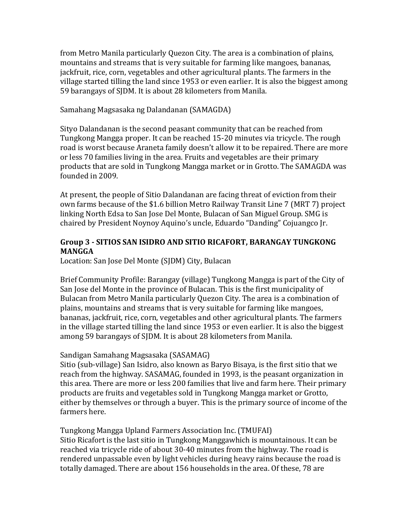from Metro Manila particularly Quezon City. The area is a combination of plains, mountains and streams that is very suitable for farming like mangoes, bananas, jackfruit, rice, corn, vegetables and other agricultural plants. The farmers in the village started tilling the land since 1953 or even earlier. It is also the biggest among 59 barangays of SJDM. It is about 28 kilometers from Manila.

#### Samahang Magsasaka ng Dalandanan (SAMAGDA)

Sityo Dalandanan is the second peasant community that can be reached from Tungkong Mangga proper. It can be reached 15-20 minutes via tricycle. The rough road is worst because Araneta family doesn't allow it to be repaired. There are more or less 70 families living in the area. Fruits and vegetables are their primary products that are sold in Tungkong Mangga market or in Grotto. The SAMAGDA was founded in 2009.

At present, the people of Sitio Dalandanan are facing threat of eviction from their own farms because of the \$1.6 billion Metro Railway Transit Line 7 (MRT 7) project linking North Edsa to San Jose Del Monte, Bulacan of San Miguel Group. SMG is chaired by President Noynoy Aquino's uncle, Eduardo "Danding" Cojuangco Jr.

#### **Group 3 - SITIOS SAN ISIDRO AND SITIO RICAFORT, BARANGAY TUNGKONG MANGGA**

Location: San Jose Del Monte (SJDM) City, Bulacan

Brief Community Profile: Barangay (village) Tungkong Mangga is part of the City of San Jose del Monte in the province of Bulacan. This is the first municipality of Bulacan from Metro Manila particularly Quezon City. The area is a combination of plains, mountains and streams that is very suitable for farming like mangoes, bananas, jackfruit, rice, corn, vegetables and other agricultural plants. The farmers in the village started tilling the land since 1953 or even earlier. It is also the biggest among 59 barangays of SJDM. It is about 28 kilometers from Manila.

#### Sandigan Samahang Magsasaka (SASAMAG)

Sitio (sub-village) San Isidro, also known as Baryo Bisaya, is the first sitio that we reach from the highway. SASAMAG, founded in 1993, is the peasant organization in this area. There are more or less 200 families that live and farm here. Their primary products are fruits and vegetables sold in Tungkong Mangga market or Grotto, either by themselves or through a buyer. This is the primary source of income of the farmers here.

Tungkong Mangga Upland Farmers Association Inc. (TMUFAI)

Sitio Ricafort is the last sitio in Tungkong Manggawhich is mountainous. It can be reached via tricycle ride of about 30-40 minutes from the highway. The road is rendered unpassable even by light vehicles during heavy rains because the road is totally damaged. There are about 156 households in the area. Of these, 78 are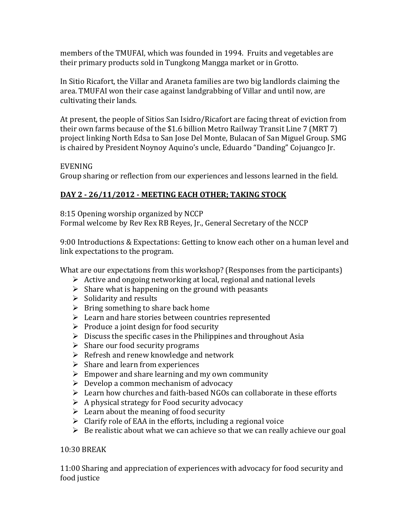members of the TMUFAI, which was founded in 1994. Fruits and vegetables are their primary products sold in Tungkong Mangga market or in Grotto.

In Sitio Ricafort, the Villar and Araneta families are two big landlords claiming the area. TMUFAI won their case against landgrabbing of Villar and until now, are cultivating their lands.

At present, the people of Sitios San Isidro/Ricafort are facing threat of eviction from their own farms because of the \$1.6 billion Metro Railway Transit Line 7 (MRT 7) project linking North Edsa to San Jose Del Monte, Bulacan of San Miguel Group. SMG is chaired by President Noynoy Aquino's uncle, Eduardo "Danding" Cojuangco Jr.

# EVENING

Group sharing or reflection from our experiences and lessons learned in the field.

# **DAY 2 - 26/11/2012 - MEETING EACH OTHER; TAKING STOCK**

8:15 Opening worship organized by NCCP

Formal welcome by Rev Rex RB Reyes, Jr., General Secretary of the NCCP

9:00 Introductions & Expectations: Getting to know each other on a human level and link expectations to the program.

What are our expectations from this workshop? (Responses from the participants)

- $\triangleright$  Active and ongoing networking at local, regional and national levels
- $\triangleright$  Share what is happening on the ground with peasants
- $\triangleright$  Solidarity and results
- $\triangleright$  Bring something to share back home
- $\triangleright$  Learn and hare stories between countries represented
- $\triangleright$  Produce a joint design for food security
- $\triangleright$  Discuss the specific cases in the Philippines and throughout Asia
- $\triangleright$  Share our food security programs
- $\triangleright$  Refresh and renew knowledge and network
- $\triangleright$  Share and learn from experiences
- $\triangleright$  Empower and share learning and my own community
- $\triangleright$  Develop a common mechanism of advocacy
- $\triangleright$  Learn how churches and faith-based NGOs can collaborate in these efforts
- $\triangleright$  A physical strategy for Food security advocacy
- $\triangleright$  Learn about the meaning of food security
- $\triangleright$  Clarify role of EAA in the efforts, including a regional voice
- $\triangleright$  Be realistic about what we can achieve so that we can really achieve our goal

### 10:30 BREAK

11:00 Sharing and appreciation of experiences with advocacy for food security and food justice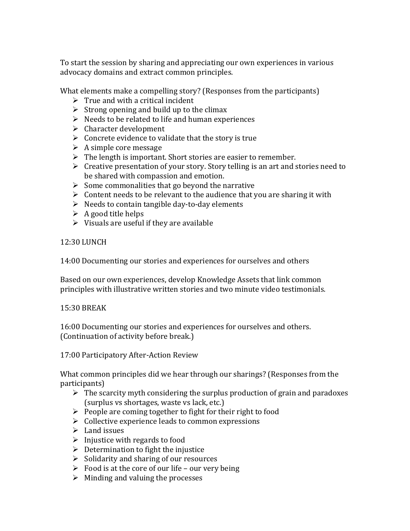To start the session by sharing and appreciating our own experiences in various advocacy domains and extract common principles.

What elements make a compelling story? (Responses from the participants)

- $\triangleright$  True and with a critical incident
- $\triangleright$  Strong opening and build up to the climax
- $\triangleright$  Needs to be related to life and human experiences
- $\triangleright$  Character development
- $\triangleright$  Concrete evidence to validate that the story is true
- $\triangleright$  A simple core message
- $\triangleright$  The length is important. Short stories are easier to remember.
- $\triangleright$  Creative presentation of your story. Story telling is an art and stories need to be shared with compassion and emotion.
- $\triangleright$  Some commonalities that go beyond the narrative
- $\triangleright$  Content needs to be relevant to the audience that you are sharing it with
- $\triangleright$  Needs to contain tangible day-to-day elements
- $\triangleright$  A good title helps
- $\triangleright$  Visuals are useful if they are available

12:30 LUNCH

14:00 Documenting our stories and experiences for ourselves and others

Based on our own experiences, develop Knowledge Assets that link common principles with illustrative written stories and two minute video testimonials.

15:30 BREAK

16:00 Documenting our stories and experiences for ourselves and others. (Continuation of activity before break.)

17:00 Participatory After-Action Review

What common principles did we hear through our sharings? (Responses from the participants)

- $\triangleright$  The scarcity myth considering the surplus production of grain and paradoxes (surplus vs shortages, waste vs lack, etc.)
- $\triangleright$  People are coming together to fight for their right to food
- $\triangleright$  Collective experience leads to common expressions
- $\blacktriangleright$  Land issues
- $\triangleright$  Injustice with regards to food
- $\triangleright$  Determination to fight the injustice
- $\triangleright$  Solidarity and sharing of our resources
- $\triangleright$  Food is at the core of our life our very being
- $\triangleright$  Minding and valuing the processes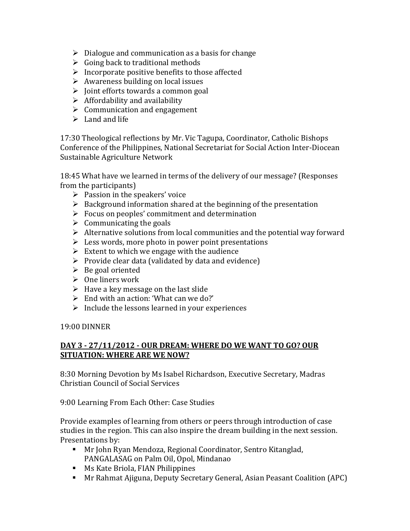- $\triangleright$  Dialogue and communication as a basis for change
- $\triangleright$  Going back to traditional methods
- $\triangleright$  Incorporate positive benefits to those affected
- $\triangleright$  Awareness building on local issues
- $\triangleright$  Joint efforts towards a common goal
- $\triangleright$  Affordability and availability
- $\triangleright$  Communication and engagement
- $\triangleright$  Land and life

17:30 Theological reflections by Mr. Vic Tagupa, Coordinator, Catholic Bishops Conference of the Philippines, National Secretariat for Social Action Inter-Diocean Sustainable Agriculture Network

18:45 What have we learned in terms of the delivery of our message? (Responses from the participants)

- $\triangleright$  Passion in the speakers' voice
- $\triangleright$  Background information shared at the beginning of the presentation
- $\triangleright$  Focus on peoples' commitment and determination
- $\triangleright$  Communicating the goals
- $\triangleright$  Alternative solutions from local communities and the potential way forward
- $\triangleright$  Less words, more photo in power point presentations
- $\triangleright$  Extent to which we engage with the audience
- $\triangleright$  Provide clear data (validated by data and evidence)
- $\triangleright$  Be goal oriented
- $\triangleright$  One liners work
- $\triangleright$  Have a key message on the last slide
- $\triangleright$  End with an action: 'What can we do?'
- $\triangleright$  Include the lessons learned in your experiences

### 19:00 DINNER

### **DAY 3 - 27/11/2012 - OUR DREAM: WHERE DO WE WANT TO GO? OUR SITUATION: WHERE ARE WE NOW?**

8:30 Morning Devotion by Ms Isabel Richardson, Executive Secretary, Madras Christian Council of Social Services

9:00 Learning From Each Other: Case Studies

Provide examples of learning from others or peers through introduction of case studies in the region. This can also inspire the dream building in the next session. Presentations by:

- Mr John Ryan Mendoza, Regional Coordinator, Sentro Kitanglad, PANGALASAG on Palm Oil, Opol, Mindanao
- **Ms Kate Briola, FIAN Philippines**
- Mr Rahmat Ajiguna, Deputy Secretary General, Asian Peasant Coalition (APC)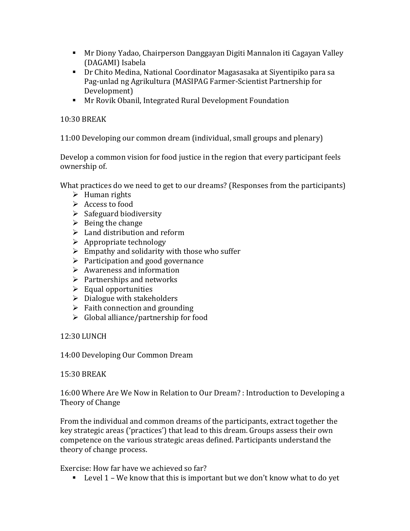- Mr Diony Yadao, Chairperson Danggayan Digiti Mannalon iti Cagayan Valley (DAGAMI) Isabela
- Dr Chito Medina, National Coordinator Magasasaka at Siyentipiko para sa Pag-unlad ng Agrikultura (MASIPAG Farmer-Scientist Partnership for Development)
- Mr Rovik Obanil, Integrated Rural Development Foundation

## 10:30 BREAK

11:00 Developing our common dream (individual, small groups and plenary)

Develop a common vision for food justice in the region that every participant feels ownership of.

What practices do we need to get to our dreams? (Responses from the participants)

- $\triangleright$  Human rights
- $\triangleright$  Access to food
- $\triangleright$  Safeguard biodiversity
- $\triangleright$  Being the change
- $\triangleright$  Land distribution and reform
- $\triangleright$  Appropriate technology
- $\triangleright$  Empathy and solidarity with those who suffer
- $\triangleright$  Participation and good governance
- $\triangleright$  Awareness and information
- $\triangleright$  Partnerships and networks
- $\triangleright$  Equal opportunities
- $\triangleright$  Dialogue with stakeholders
- $\triangleright$  Faith connection and grounding
- $\triangleright$  Global alliance/partnership for food

# 12:30 LUNCH

14:00 Developing Our Common Dream

### 15:30 BREAK

16:00 Where Are We Now in Relation to Our Dream? : Introduction to Developing a Theory of Change

From the individual and common dreams of the participants, extract together the key strategic areas ('practices') that lead to this dream. Groups assess their own competence on the various strategic areas defined. Participants understand the theory of change process.

Exercise: How far have we achieved so far?

**Level 1 – We know that this is important but we don't know what to do yet**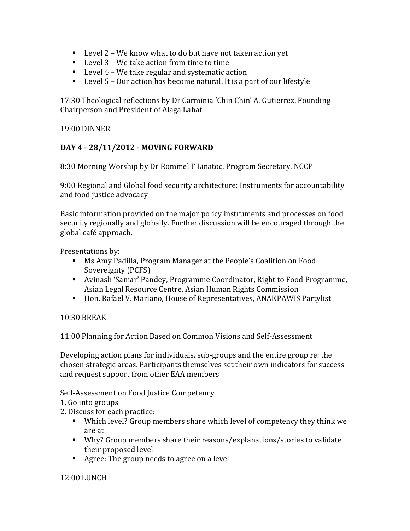- Level 2 We know what to do but have not taken action yet
- Level 3 We take action from time to time
- $\blacksquare$  Level 4 We take regular and systematic action
- $\blacksquare$  Level 5 Our action has become natural. It is a part of our lifestyle

17:30 Theological reflections by Dr Carminia 'Chin Chin' A. Gutierrez, Founding Chairperson and President of Alaga Lahat

## 19:00 DINNER

## **DAY 4 - 28/11/2012 - MOVING FORWARD**

8:30 Morning Worship by Dr Rommel F Linatoc, Program Secretary, NCCP

9:00 Regional and Global food security architecture: Instruments for accountability and food justice advocacy

Basic information provided on the major policy instruments and processes on food security regionally and globally. Further discussion will be encouraged through the global café approach.

Presentations by:

- Ms Amy Padilla, Program Manager at the People's Coalition on Food Sovereignty (PCFS)
- Avinash 'Samar' Pandey, Programme Coordinator, Right to Food Programme, Asian Legal Resource Centre, Asian Human Rights Commission
- Hon. Rafael V. Mariano, House of Representatives, ANAKPAWIS Partylist

### 10:30 BREAK

11:00 Planning for Action Based on Common Visions and Self-Assessment

Developing action plans for individuals, sub-groups and the entire group re: the chosen strategic areas. Participants themselves set their own indicators for success and request support from other EAA members

Self-Assessment on Food Justice Competency

- 1. Go into groups
- 2. Discuss for each practice:
	- Which level? Group members share which level of competency they think we are at
	- Why? Group members share their reasons/explanations/stories to validate their proposed level
	- Agree: The group needs to agree on a level

### 12:00 LUNCH